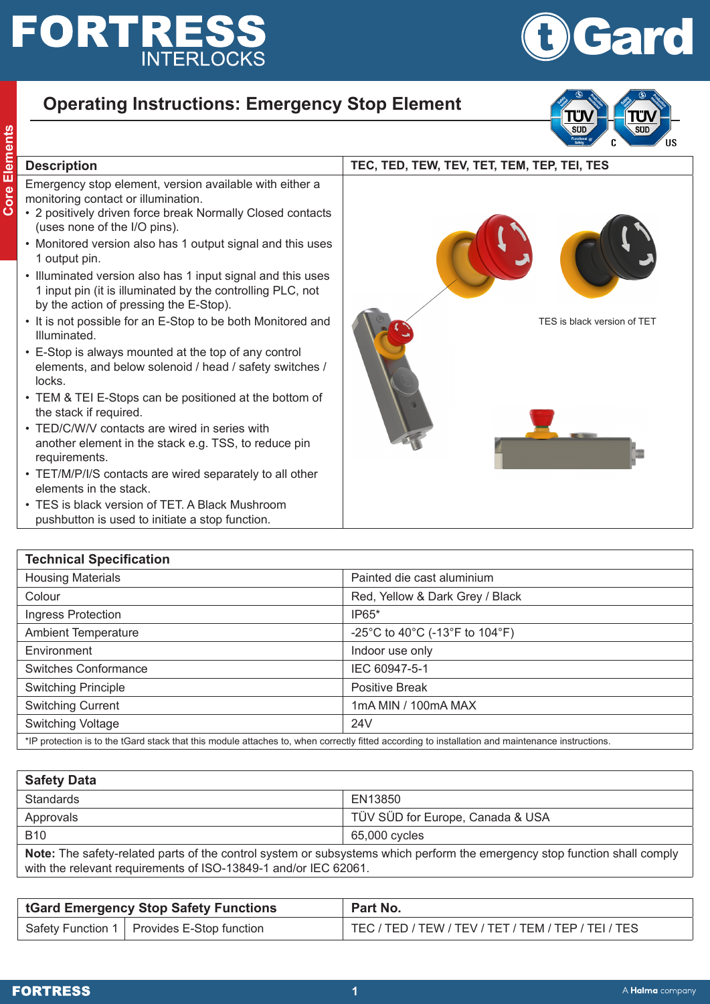## **FORTRESS INTERLOCKS**

## **Operating Instructions: Emergency Stop Element**



Gard

## **Consider the Core Elements Core Element, version available with either a**<br> **Consider the Elements Consider the Element School School School School School School School School School School School School School School Sc** Emergency stop element, version available with either a monitoring contact or illumination. • 2 positively driven force break Normally Closed contacts (uses none of the I/O pins). • Monitored version also has 1 output signal and this uses 1 output pin. • Illuminated version also has 1 input signal and this uses 1 input pin (it is illuminated by the controlling PLC, not by the action of pressing the E-Stop). • It is not possible for an E-Stop to be both Monitored and Illuminated. • E-Stop is always mounted at the top of any control elements, and below solenoid / head / safety switches / locks. • TEM & TEI E-Stops can be positioned at the bottom of the stack if required. • TED/C/W/V contacts are wired in series with TES is black version of TET

- another element in the stack e.g. TSS, to reduce pin requirements.
- TET/M/P/I/S contacts are wired separately to all other elements in the stack.
- TES is black version of TET. A Black Mushroom pushbutton is used to initiate a stop function.



| <b>Technical Specification</b>                                                                                                                   |                                 |  |
|--------------------------------------------------------------------------------------------------------------------------------------------------|---------------------------------|--|
| <b>Housing Materials</b>                                                                                                                         | Painted die cast aluminium      |  |
| Colour                                                                                                                                           | Red, Yellow & Dark Grey / Black |  |
| Ingress Protection                                                                                                                               | $IP65*$                         |  |
| <b>Ambient Temperature</b>                                                                                                                       | -25°C to 40°C (-13°F to 104°F)  |  |
| Environment                                                                                                                                      | Indoor use only                 |  |
| <b>Switches Conformance</b>                                                                                                                      | IEC 60947-5-1                   |  |
| <b>Switching Principle</b>                                                                                                                       | <b>Positive Break</b>           |  |
| <b>Switching Current</b>                                                                                                                         | 1mA MIN / 100mA MAX             |  |
| Switching Voltage                                                                                                                                | 24 <sub>V</sub>                 |  |
| *IP protection is to the tGard stack that this module attaches to, when correctly fitted according to installation and maintenance instructions. |                                 |  |

| <b>Safety Data</b>                                                                                                                                                                           |                                  |  |
|----------------------------------------------------------------------------------------------------------------------------------------------------------------------------------------------|----------------------------------|--|
| <b>Standards</b>                                                                                                                                                                             | EN13850                          |  |
| Approvals                                                                                                                                                                                    | TÜV SÜD for Europe, Canada & USA |  |
| <b>B10</b>                                                                                                                                                                                   | 65,000 cycles                    |  |
| Note: The safety-related parts of the control system or subsystems which perform the emergency stop function shall comply<br>with the relevant requirements of ISO-13849-1 and/or IEC 62061. |                                  |  |

| <b>tGard Emergency Stop Safety Functions</b> | Part No.                                            |
|----------------------------------------------|-----------------------------------------------------|
| Safety Function 1   Provides E-Stop function | TEC / TED / TEW / TEV / TET / TEM / TEP / TEI / TES |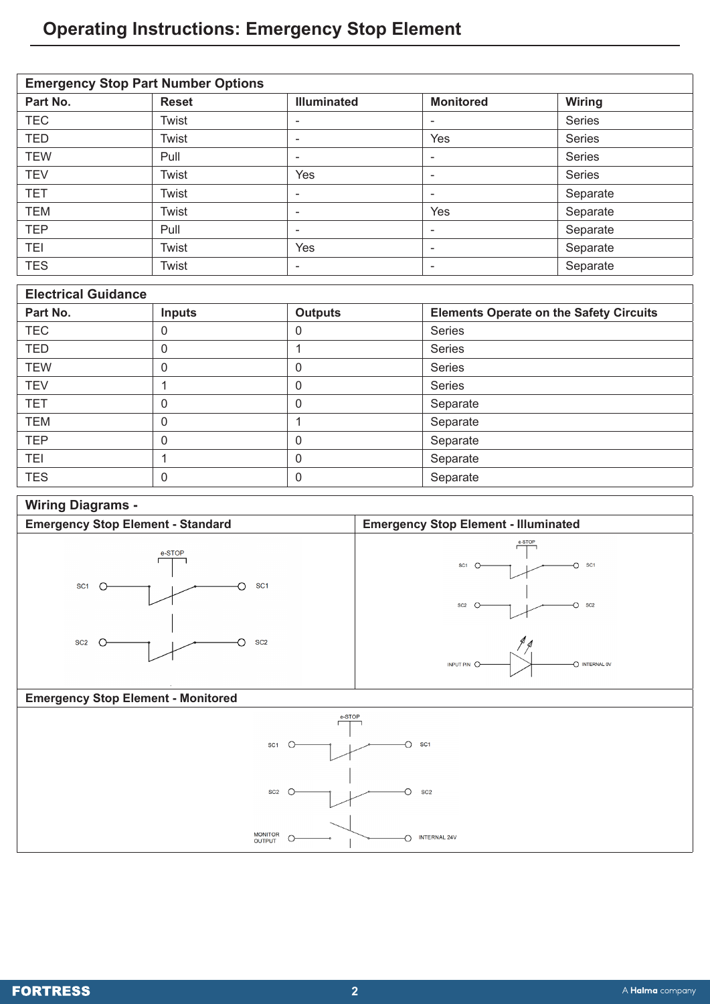## **Operating Instructions: Emergency Stop Element**

| <b>Emergency Stop Part Number Options</b> |              |                    |                  |               |  |
|-------------------------------------------|--------------|--------------------|------------------|---------------|--|
| Part No.                                  | <b>Reset</b> | <b>Illuminated</b> | <b>Monitored</b> | Wiring        |  |
| <b>TEC</b>                                | Twist        | -                  | ۰                | <b>Series</b> |  |
| <b>TED</b>                                | Twist        | ۰                  | Yes              | <b>Series</b> |  |
| <b>TEW</b>                                | Pull         | ۰                  | ۰                | Series        |  |
| <b>TEV</b>                                | Twist        | Yes                | ۰                | Series        |  |
| <b>TET</b>                                | Twist        | ۰                  | ۰                | Separate      |  |
| <b>TEM</b>                                | Twist        | -                  | Yes              | Separate      |  |
| <b>TEP</b>                                | Pull         | -                  | ۰                | Separate      |  |
| <b>TEI</b>                                | Twist        | Yes                | ۰                | Separate      |  |
| <b>TES</b>                                | Twist        | ۰                  | ۰                | Separate      |  |

| <b>Electrical Guidance</b> |               |                |                                                |  |
|----------------------------|---------------|----------------|------------------------------------------------|--|
| Part No.                   | <b>Inputs</b> | <b>Outputs</b> | <b>Elements Operate on the Safety Circuits</b> |  |
| <b>TEC</b>                 | 0             | 0              | <b>Series</b>                                  |  |
| <b>TED</b>                 | 0             |                | Series                                         |  |
| <b>TEW</b>                 | 0             | 0              | Series                                         |  |
| <b>TEV</b>                 |               | 0              | Series                                         |  |
| <b>TET</b>                 | 0             | 0              | Separate                                       |  |
| <b>TEM</b>                 | 0             |                | Separate                                       |  |
| <b>TEP</b>                 | 0             | 0              | Separate                                       |  |
| TEI                        |               | 0              | Separate                                       |  |
| <b>TES</b>                 | 0             | 0              | Separate                                       |  |